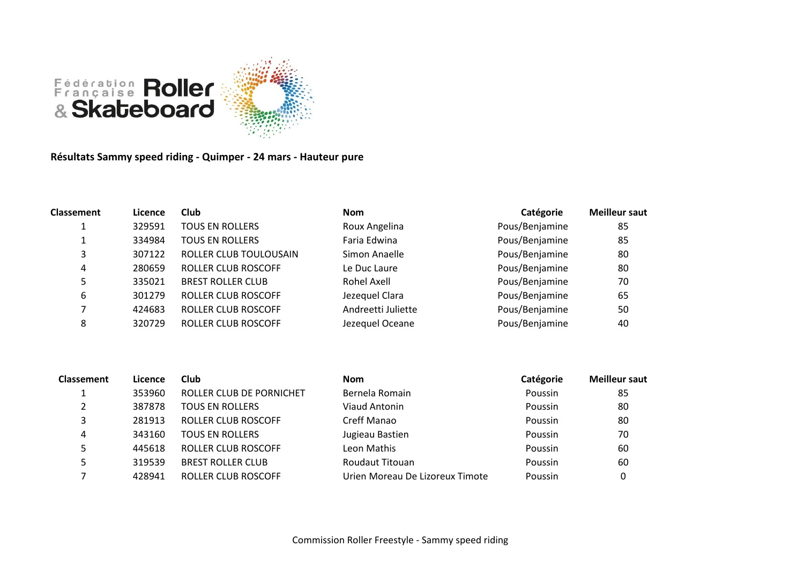

**Résultats Sammy speed riding - Quimper - 24 mars - Hauteur pure**

| <b>Classement</b> | Licence | <b>Club</b>              | <b>Nom</b>         | Catégorie      | <b>Meilleur saut</b> |
|-------------------|---------|--------------------------|--------------------|----------------|----------------------|
|                   | 329591  | <b>TOUS EN ROLLERS</b>   | Roux Angelina      | Pous/Benjamine | 85                   |
|                   | 334984  | <b>TOUS EN ROLLERS</b>   | Faria Edwina       | Pous/Benjamine | 85                   |
| 3                 | 307122  | ROLLER CLUB TOULOUSAIN   | Simon Anaelle      | Pous/Benjamine | 80                   |
| 4                 | 280659  | ROLLER CLUB ROSCOFF      | Le Duc Laure       | Pous/Benjamine | 80                   |
|                   | 335021  | <b>BREST ROLLER CLUB</b> | Rohel Axell        | Pous/Benjamine | 70                   |
| 6                 | 301279  | ROLLER CLUB ROSCOFF      | Jezequel Clara     | Pous/Benjamine | 65                   |
|                   | 424683  | ROLLER CLUB ROSCOFF      | Andreetti Juliette | Pous/Benjamine | 50                   |
| 8                 | 320729  | ROLLER CLUB ROSCOFF      | Jezequel Oceane    | Pous/Benjamine | 40                   |

| Licence | Club                     | <b>Nom</b>                      | Catégorie | <b>Meilleur saut</b> |
|---------|--------------------------|---------------------------------|-----------|----------------------|
| 353960  | ROLLER CLUB DE PORNICHET | Bernela Romain                  | Poussin   | 85                   |
| 387878  | <b>TOUS EN ROLLERS</b>   | Viaud Antonin                   | Poussin   | 80                   |
| 281913  | ROLLER CLUB ROSCOFF      | Creff Manao                     | Poussin   | 80                   |
| 343160  | <b>TOUS EN ROLLERS</b>   | Jugieau Bastien                 | Poussin   | 70                   |
| 445618  | ROLLER CLUB ROSCOFF      | Leon Mathis                     | Poussin   | 60                   |
| 319539  | <b>BREST ROLLER CLUB</b> | Roudaut Titouan                 | Poussin   | 60                   |
| 428941  | ROLLER CLUB ROSCOFF      | Urien Moreau De Lizoreux Timote | Poussin   | 0                    |
|         |                          |                                 |           |                      |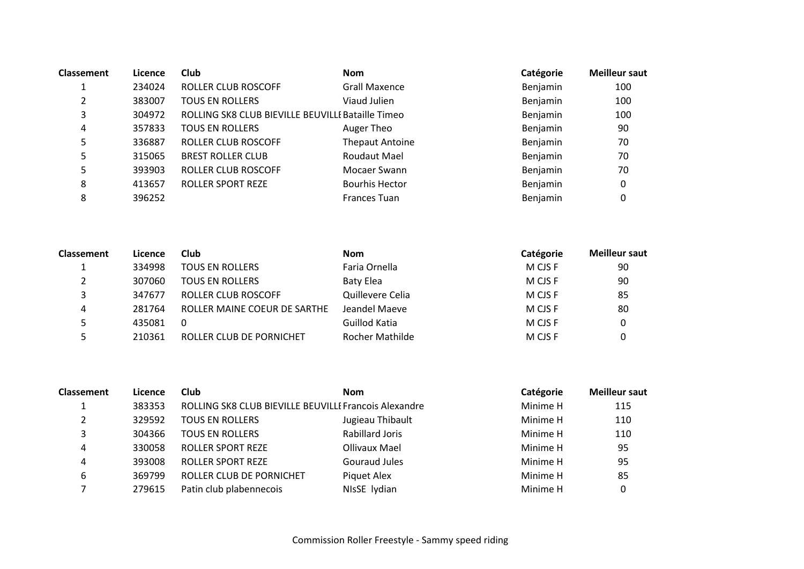| Licence | Club                     | <b>Nom</b>             | Catégorie                                         | <b>Meilleur saut</b> |
|---------|--------------------------|------------------------|---------------------------------------------------|----------------------|
| 234024  | ROLLER CLUB ROSCOFF      | <b>Grall Maxence</b>   | Benjamin                                          | 100                  |
| 383007  | <b>TOUS EN ROLLERS</b>   | Viaud Julien           | Benjamin                                          | 100                  |
| 304972  |                          |                        | Benjamin                                          | 100                  |
| 357833  | <b>TOUS EN ROLLERS</b>   | Auger Theo             | Benjamin                                          | 90                   |
| 336887  | ROLLER CLUB ROSCOFF      | <b>Thepaut Antoine</b> | Benjamin                                          | 70                   |
| 315065  | <b>BREST ROLLER CLUB</b> | Roudaut Mael           | Benjamin                                          | 70                   |
| 393903  | ROLLER CLUB ROSCOFF      | Mocaer Swann           | Benjamin                                          | 70                   |
| 413657  | <b>ROLLER SPORT REZE</b> | <b>Bourhis Hector</b>  | Benjamin                                          | 0                    |
| 396252  |                          | Frances Tuan           | Benjamin                                          | 0                    |
|         |                          |                        | ROLLING SK8 CLUB BIEVILLE BEUVILLE Bataille Timeo |                      |

| <b>Classement</b> | Licence | Club                         | <b>Nom</b>             | Catégorie | <b>Meilleur saut</b> |
|-------------------|---------|------------------------------|------------------------|-----------|----------------------|
|                   | 334998  | <b>TOUS EN ROLLERS</b>       | Faria Ornella          | M CJS F   | 90                   |
|                   | 307060  | <b>TOUS EN ROLLERS</b>       | <b>Baty Elea</b>       | M CJS F   | 90                   |
|                   | 347677  | ROLLER CLUB ROSCOFF          | Quillevere Celia       | M CJS F   | 85                   |
|                   | 281764  | ROLLER MAINE COEUR DE SARTHE | Jeandel Maeve          | M CJS F   | 80                   |
|                   | 435081  | $\overline{0}$               | Guillod Katia          | M CIS F   |                      |
|                   | 210361  | ROLLER CLUB DE PORNICHET     | <b>Rocher Mathilde</b> | M CJS F   |                      |

| <b>Classement</b> | Licence | Club                                                  | <b>Nom</b>             | Catégorie | <b>Meilleur saut</b> |
|-------------------|---------|-------------------------------------------------------|------------------------|-----------|----------------------|
|                   | 383353  | ROLLING SK8 CLUB BIEVILLE BEUVILLE Francois Alexandre |                        | Minime H  | 115                  |
| Γ.                | 329592  | <b>TOUS EN ROLLERS</b>                                | Jugieau Thibault       | Minime H  | 110                  |
| っ                 | 304366  | <b>TOUS EN ROLLERS</b>                                | <b>Rabillard Joris</b> | Minime H  | 110                  |
| 4                 | 330058  | <b>ROLLER SPORT REZE</b>                              | Ollivaux Mael          | Minime H  | 95                   |
| 4                 | 393008  | <b>ROLLER SPORT REZE</b>                              | Gouraud Jules          | Minime H  | 95                   |
| 6                 | 369799  | ROLLER CLUB DE PORNICHET                              | Piquet Alex            | Minime H  | 85                   |
|                   | 279615  | Patin club plabennecois                               | NIsSE lydian           | Minime H  | 0                    |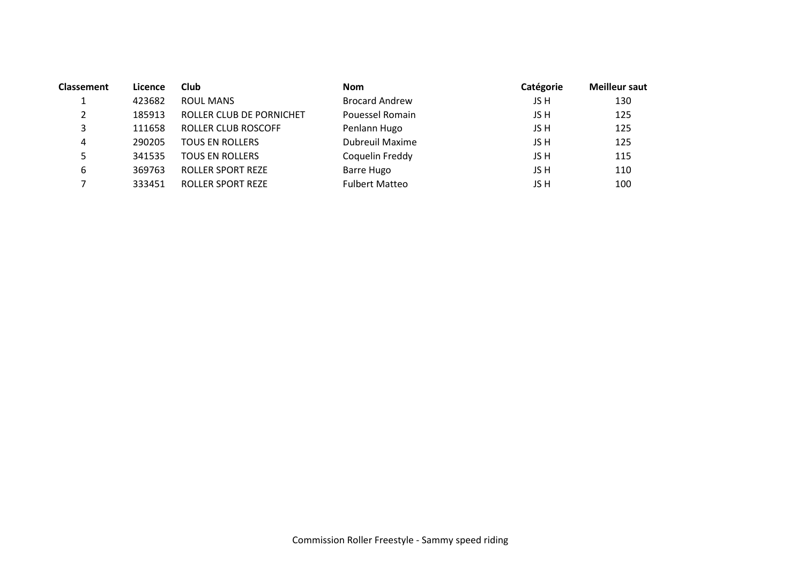| <b>Classement</b> | Licence | Club                     | <b>Nom</b>             | Catégorie | <b>Meilleur saut</b> |
|-------------------|---------|--------------------------|------------------------|-----------|----------------------|
|                   | 423682  | <b>ROUL MANS</b>         | <b>Brocard Andrew</b>  | JS H      | 130                  |
|                   | 185913  | ROLLER CLUB DE PORNICHET | Pouessel Romain        | JS H      | 125                  |
|                   | 111658  | ROLLER CLUB ROSCOFF      | Penlann Hugo           | JS H      | 125                  |
| 4                 | 290205  | <b>TOUS EN ROLLERS</b>   | <b>Dubreuil Maxime</b> | JS H      | 125                  |
|                   | 341535  | <b>TOUS EN ROLLERS</b>   | Coquelin Freddy        | JS H      | 115                  |
| 6                 | 369763  | <b>ROLLER SPORT REZE</b> | Barre Hugo             | JS H      | 110                  |
|                   | 333451  | <b>ROLLER SPORT REZE</b> | <b>Fulbert Matteo</b>  | JS H      | 100                  |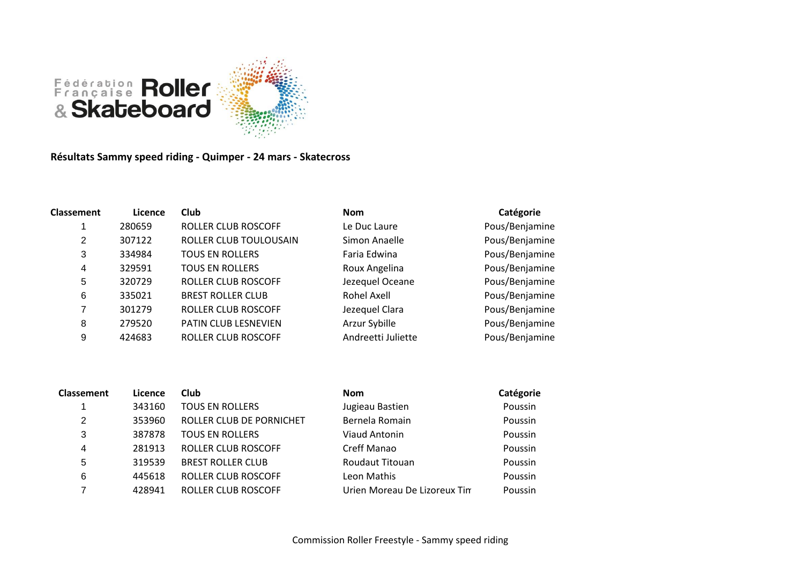

**Résultats Sammy speed riding - Quimper - 24 mars - Skatecross**

| Classement | Licence | Club                        | <b>Nom</b>         | Catégorie      |
|------------|---------|-----------------------------|--------------------|----------------|
|            | 280659  | ROLLER CLUB ROSCOFF         | Le Duc Laure       | Pous/Benjamine |
| 2          | 307122  | ROLLER CLUB TOULOUSAIN      | Simon Anaelle      | Pous/Benjamine |
| 3          | 334984  | <b>TOUS EN ROLLERS</b>      | Faria Edwina       | Pous/Benjamine |
| 4          | 329591  | <b>TOUS EN ROLLERS</b>      | Roux Angelina      | Pous/Benjamine |
| 5          | 320729  | ROLLER CLUB ROSCOFF         | Jezequel Oceane    | Pous/Benjamine |
| 6          | 335021  | <b>BREST ROLLER CLUB</b>    | <b>Rohel Axell</b> | Pous/Benjamine |
| 7          | 301279  | ROLLER CLUB ROSCOFF         | Jezequel Clara     | Pous/Benjamine |
| 8          | 279520  | <b>PATIN CLUB LESNEVIEN</b> | Arzur Sybille      | Pous/Benjamine |
| 9          | 424683  | ROLLER CLUB ROSCOFF         | Andreetti Juliette | Pous/Benjamine |

| <b>Classement</b> | Licence | <b>Club</b>              | <b>Nom</b>                   | Catégorie |
|-------------------|---------|--------------------------|------------------------------|-----------|
|                   | 343160  | <b>TOUS EN ROLLERS</b>   | Jugieau Bastien              | Poussin   |
| 2                 | 353960  | ROLLER CLUB DE PORNICHET | Bernela Romain               | Poussin   |
| 3                 | 387878  | <b>TOUS EN ROLLERS</b>   | Viaud Antonin                | Poussin   |
| 4                 | 281913  | ROLLER CLUB ROSCOFF      | Creff Manao                  | Poussin   |
| 5                 | 319539  | <b>BREST ROLLER CLUB</b> | <b>Roudaut Titouan</b>       | Poussin   |
| 6                 | 445618  | ROLLER CLUB ROSCOFF      | Leon Mathis                  | Poussin   |
|                   | 428941  | ROLLER CLUB ROSCOFF      | Urien Moreau De Lizoreux Tin | Poussin   |
|                   |         |                          |                              |           |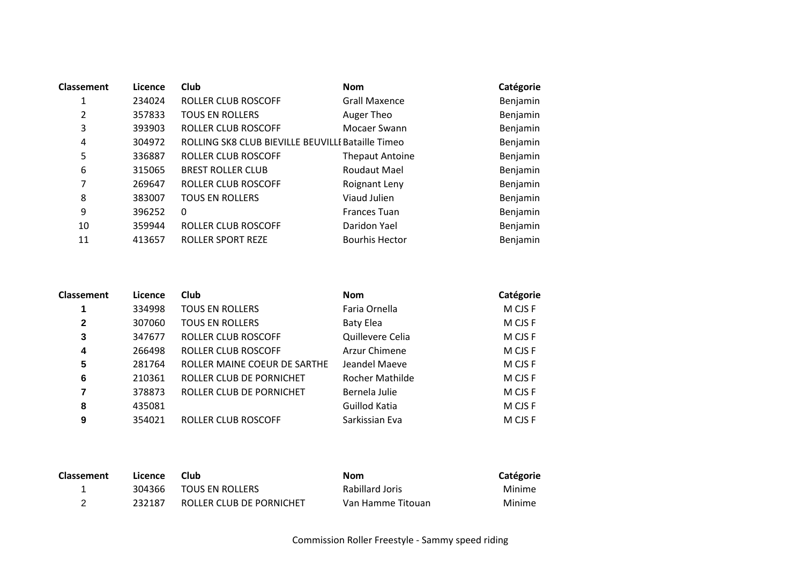| <b>Classement</b> | Licence | Club                                              | <b>Nom</b>             | Catégorie |
|-------------------|---------|---------------------------------------------------|------------------------|-----------|
|                   | 234024  | <b>ROLLER CLUB ROSCOFF</b>                        | <b>Grall Maxence</b>   | Benjamin  |
| 2                 | 357833  | <b>TOUS EN ROLLERS</b>                            | Auger Theo             | Benjamin  |
| 3                 | 393903  | <b>ROLLER CLUB ROSCOFF</b>                        | Mocaer Swann           | Benjamin  |
| 4                 | 304972  | ROLLING SK8 CLUB BIEVILLE BEUVILLE Bataille Timeo |                        | Benjamin  |
| 5                 | 336887  | <b>ROLLER CLUB ROSCOFF</b>                        | <b>Thepaut Antoine</b> | Benjamin  |
| 6                 | 315065  | <b>BREST ROLLER CLUB</b>                          | <b>Roudaut Mael</b>    | Benjamin  |
| 7                 | 269647  | ROLLER CLUB ROSCOFF                               | Roignant Leny          | Benjamin  |
| 8                 | 383007  | <b>TOUS EN ROLLERS</b>                            | Viaud Julien           | Benjamin  |
| 9                 | 396252  | $\mathbf{0}$                                      | <b>Frances Tuan</b>    | Benjamin  |
| 10                | 359944  | <b>ROLLER CLUB ROSCOFF</b>                        | Daridon Yael           | Benjamin  |
| 11                | 413657  | <b>ROLLER SPORT REZE</b>                          | <b>Bourhis Hector</b>  | Benjamin  |

| Classement | Licence | <b>Club</b>                  | <b>Nom</b>             | Catégorie |
|------------|---------|------------------------------|------------------------|-----------|
|            | 334998  | <b>TOUS EN ROLLERS</b>       | Faria Ornella          | M CJS F   |
| 2          | 307060  | <b>TOUS EN ROLLERS</b>       | <b>Baty Elea</b>       | M CJS F   |
| 3          | 347677  | ROLLER CLUB ROSCOFF          | Quillevere Celia       | M CJS F   |
| 4          | 266498  | ROLLER CLUB ROSCOFF          | Arzur Chimene          | M CJS F   |
| 5          | 281764  | ROLLER MAINE COEUR DE SARTHE | Jeandel Maeve          | M CJS F   |
| 6          | 210361  | ROLLER CLUB DE PORNICHET     | <b>Rocher Mathilde</b> | M CJS F   |
| 7          | 378873  | ROLLER CLUB DE PORNICHET     | Bernela Julie          | M CJS F   |
| 8          | 435081  |                              | Guillod Katia          | M CJS F   |
| 9          | 354021  | ROLLER CLUB ROSCOFF          | Sarkissian Eva         | M CJS F   |

| <b>Classement</b> | Licence | Club                     | Nom               | Catégorie |
|-------------------|---------|--------------------------|-------------------|-----------|
|                   | 304366  | TOUS EN ROLLERS          | Rabillard Joris   | Minime    |
|                   | 232187  | ROLLER CLUB DE PORNICHET | Van Hamme Titouan | Minime    |